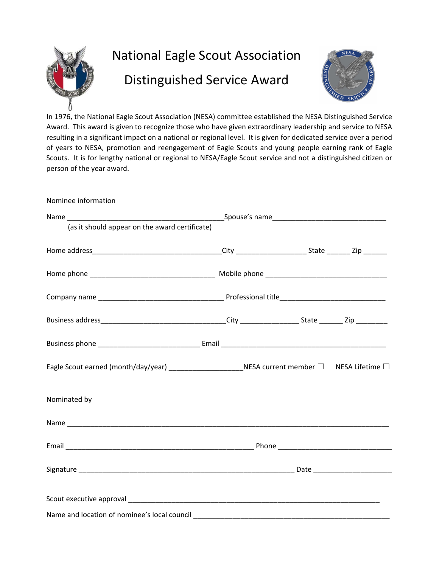

## National Eagle Scout Association Distinguished Service Award



In 1976, the National Eagle Scout Association (NESA) committee established the NESA Distinguished Service Award. This award is given to recognize those who have given extraordinary leadership and service to NESA resulting in a significant impact on a national or regional level. It is given for dedicated service over a period of years to NESA, promotion and reengagement of Eagle Scouts and young people earning rank of Eagle Scouts. It is for lengthy national or regional to NESA/Eagle Scout service and not a distinguished citizen or person of the year award.

Nominee information

| (as it should appear on the award certificate)                                                   |  |  |
|--------------------------------------------------------------------------------------------------|--|--|
|                                                                                                  |  |  |
|                                                                                                  |  |  |
|                                                                                                  |  |  |
|                                                                                                  |  |  |
|                                                                                                  |  |  |
| Eagle Scout earned (month/day/year) _______________________NESA current member □ NESA Lifetime □ |  |  |
| Nominated by                                                                                     |  |  |
|                                                                                                  |  |  |
|                                                                                                  |  |  |
|                                                                                                  |  |  |
|                                                                                                  |  |  |
|                                                                                                  |  |  |